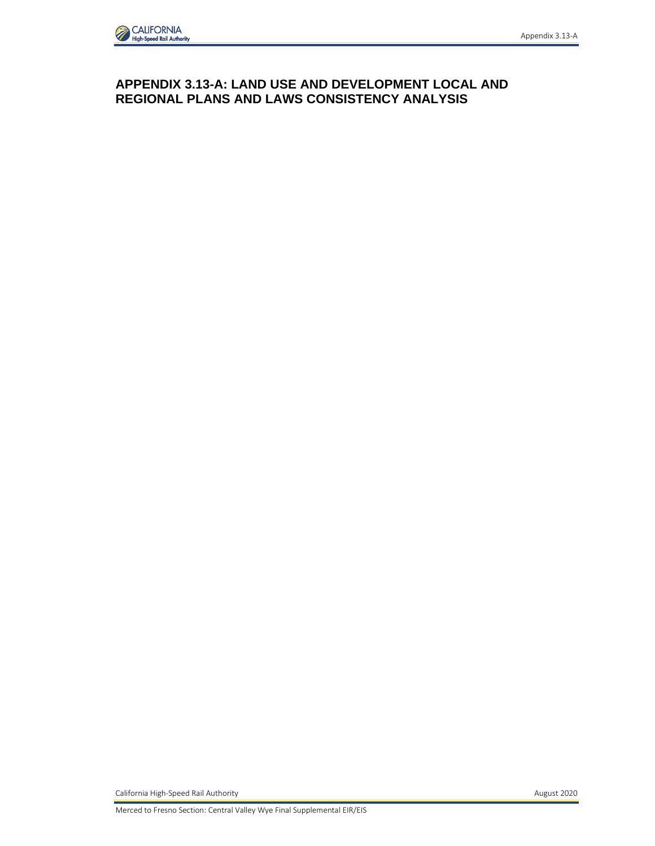

## **APPENDIX 3.13-A: LAND USE AND DEVELOPMENT LOCAL AND REGIONAL PLANS AND LAWS CONSISTENCY ANALYSIS**

California High-Speed Rail Authority **August 2020** 

Merced to Fresno Section: Central Valley Wye Final Supplemental EIR/EIS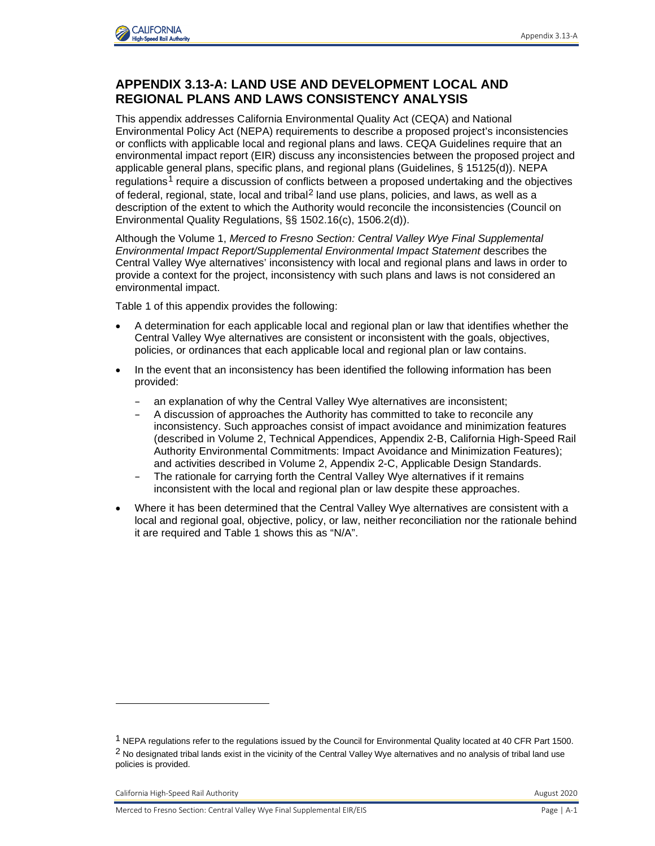

## **APPENDIX 3.13-A: LAND USE AND DEVELOPMENT LOCAL AND REGIONAL PLANS AND LAWS CONSISTENCY ANALYSIS**

This appendix addresses California Environmental Quality Act (CEQA) and National Environmental Policy Act (NEPA) requirements to describe a proposed project's inconsistencies or conflicts with applicable local and regional plans and laws. CEQA Guidelines require that an environmental impact report (EIR) discuss any inconsistencies between the proposed project and applicable general plans, specific plans, and regional plans (Guidelines, § 15125(d)). NEPA regulations<sup>[1](#page-1-0)</sup> require a discussion of conflicts between a proposed undertaking and the objectives of federal, regional, state, local and tribal<sup>[2](#page-1-1)</sup> land use plans, policies, and laws, as well as a description of the extent to which the Authority would reconcile the inconsistencies (Council on Environmental Quality Regulations, §§ 1502.16(c), 1506.2(d)).

Although the Volume 1, *Merced to Fresno Section: Central Valley Wye Final Supplemental Environmental Impact Report/Supplemental Environmental Impact Statement* describes the Central Valley Wye alternatives' inconsistency with local and regional plans and laws in order to provide a context for the project, inconsistency with such plans and laws is not considered an environmental impact.

Table 1 of this appendix provides the following:

- A determination for each applicable local and regional plan or law that identifies whether the Central Valley Wye alternatives are consistent or inconsistent with the goals, objectives, policies, or ordinances that each applicable local and regional plan or law contains.
- In the event that an inconsistency has been identified the following information has been provided:
	- an explanation of why the Central Valley Wye alternatives are inconsistent;
	- A discussion of approaches the Authority has committed to take to reconcile any inconsistency. Such approaches consist of impact avoidance and minimization features (described in Volume 2, Technical Appendices, Appendix 2-B, California High-Speed Rail Authority Environmental Commitments: Impact Avoidance and Minimization Features); and activities described in Volume 2, Appendix 2-C, Applicable Design Standards.
	- The rationale for carrying forth the Central Valley Wye alternatives if it remains inconsistent with the local and regional plan or law despite these approaches.
- Where it has been determined that the Central Valley Wye alternatives are consistent with a local and regional goal, objective, policy, or law, neither reconciliation nor the rationale behind it are required and Table 1 shows this as "N/A".

<span id="page-1-1"></span><span id="page-1-0"></span><sup>1</sup> NEPA regulations refer to the regulations issued by the Council for Environmental Quality located at 40 CFR Part 1500.  $2$  No designated tribal lands exist in the vicinity of the Central Valley Wye alternatives and no analysis of tribal land use policies is provided.

California High-Speed Rail Authority **August 2020** California High-Speed Rail Authority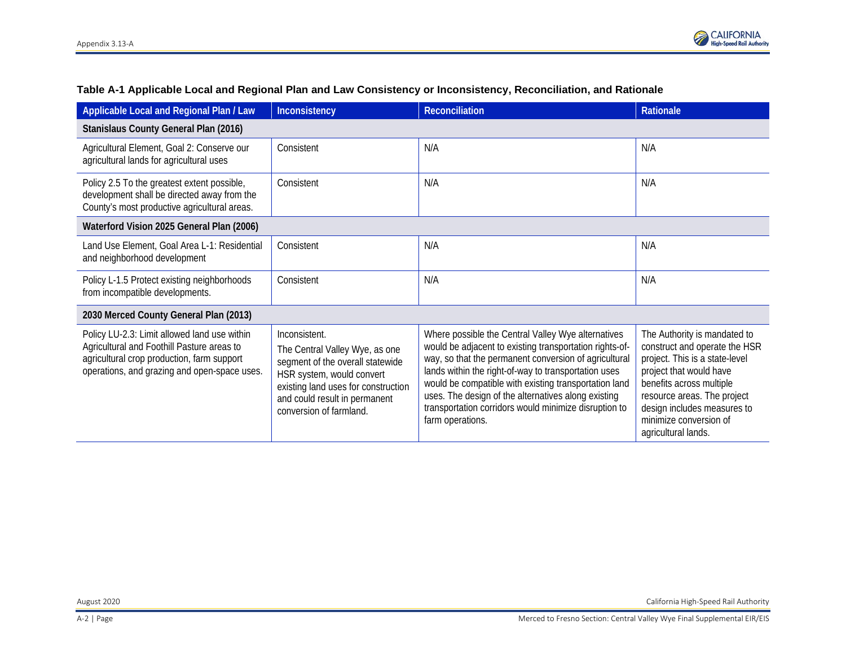| Applicable Local and Regional Plan / Law                                                                                                                                                 | Inconsistency                                                                                                                                                                                                       | Reconciliation                                                                                                                                                                                                                                                                                                                                                                                                              | Rationale                                                                                                                                                                                                                                                             |
|------------------------------------------------------------------------------------------------------------------------------------------------------------------------------------------|---------------------------------------------------------------------------------------------------------------------------------------------------------------------------------------------------------------------|-----------------------------------------------------------------------------------------------------------------------------------------------------------------------------------------------------------------------------------------------------------------------------------------------------------------------------------------------------------------------------------------------------------------------------|-----------------------------------------------------------------------------------------------------------------------------------------------------------------------------------------------------------------------------------------------------------------------|
| Stanislaus County General Plan (2016)                                                                                                                                                    |                                                                                                                                                                                                                     |                                                                                                                                                                                                                                                                                                                                                                                                                             |                                                                                                                                                                                                                                                                       |
| Agricultural Element, Goal 2: Conserve our<br>agricultural lands for agricultural uses                                                                                                   | Consistent                                                                                                                                                                                                          | N/A                                                                                                                                                                                                                                                                                                                                                                                                                         | N/A                                                                                                                                                                                                                                                                   |
| Policy 2.5 To the greatest extent possible,<br>development shall be directed away from the<br>County's most productive agricultural areas.                                               | Consistent                                                                                                                                                                                                          | N/A                                                                                                                                                                                                                                                                                                                                                                                                                         | N/A                                                                                                                                                                                                                                                                   |
| Waterford Vision 2025 General Plan (2006)                                                                                                                                                |                                                                                                                                                                                                                     |                                                                                                                                                                                                                                                                                                                                                                                                                             |                                                                                                                                                                                                                                                                       |
| Land Use Element, Goal Area L-1: Residential<br>and neighborhood development                                                                                                             | Consistent                                                                                                                                                                                                          | N/A                                                                                                                                                                                                                                                                                                                                                                                                                         | N/A                                                                                                                                                                                                                                                                   |
| Policy L-1.5 Protect existing neighborhoods<br>from incompatible developments.                                                                                                           | Consistent                                                                                                                                                                                                          | N/A                                                                                                                                                                                                                                                                                                                                                                                                                         | N/A                                                                                                                                                                                                                                                                   |
| 2030 Merced County General Plan (2013)                                                                                                                                                   |                                                                                                                                                                                                                     |                                                                                                                                                                                                                                                                                                                                                                                                                             |                                                                                                                                                                                                                                                                       |
| Policy LU-2.3: Limit allowed land use within<br>Agricultural and Foothill Pasture areas to<br>agricultural crop production, farm support<br>operations, and grazing and open-space uses. | Inconsistent.<br>The Central Valley Wye, as one<br>segment of the overall statewide<br>HSR system, would convert<br>existing land uses for construction<br>and could result in permanent<br>conversion of farmland. | Where possible the Central Valley Wye alternatives<br>would be adjacent to existing transportation rights-of-<br>way, so that the permanent conversion of agricultural<br>lands within the right-of-way to transportation uses<br>would be compatible with existing transportation land<br>uses. The design of the alternatives along existing<br>transportation corridors would minimize disruption to<br>farm operations. | The Authority is mandated to<br>construct and operate the HSR<br>project. This is a state-level<br>project that would have<br>benefits across multiple<br>resource areas. The project<br>design includes measures to<br>minimize conversion of<br>agricultural lands. |

## **Table A-1 Applicable Local and Regional Plan and Law Consistency or Inconsistency, Reconciliation, and Rationale**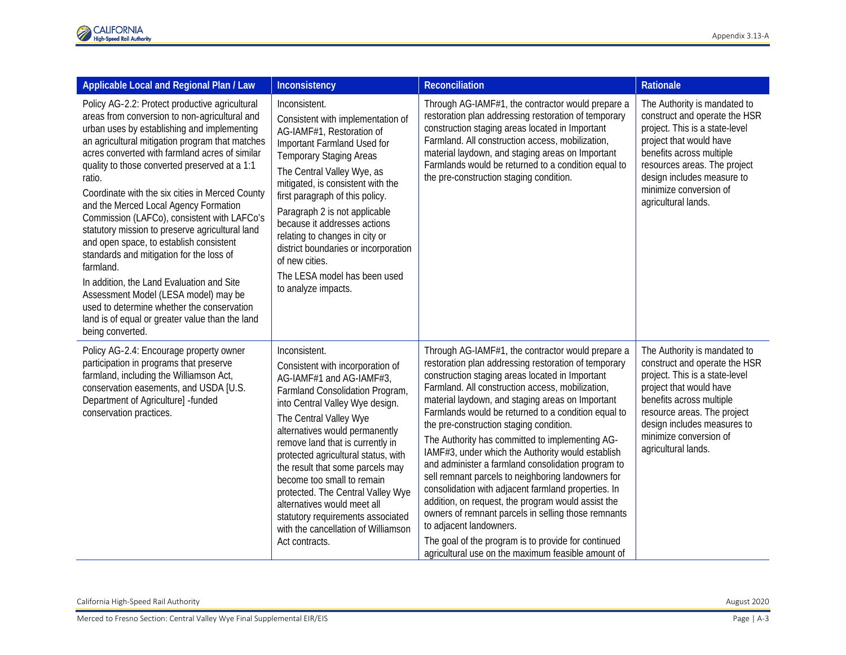

| Applicable Local and Regional Plan / Law                                                                                                                                                                                                                                                                                                                                                                                                                                                                                                                                                                                                                                                                                                                                                                                   | Inconsistency                                                                                                                                                                                                                                                                                                                                                                                                                                                                                                                  | Reconciliation                                                                                                                                                                                                                                                                                                                                                                                                                                                                                                                                                                                                                                                                                                                                                                                                                                                                                         | <b>Rationale</b>                                                                                                                                                                                                                                                      |
|----------------------------------------------------------------------------------------------------------------------------------------------------------------------------------------------------------------------------------------------------------------------------------------------------------------------------------------------------------------------------------------------------------------------------------------------------------------------------------------------------------------------------------------------------------------------------------------------------------------------------------------------------------------------------------------------------------------------------------------------------------------------------------------------------------------------------|--------------------------------------------------------------------------------------------------------------------------------------------------------------------------------------------------------------------------------------------------------------------------------------------------------------------------------------------------------------------------------------------------------------------------------------------------------------------------------------------------------------------------------|--------------------------------------------------------------------------------------------------------------------------------------------------------------------------------------------------------------------------------------------------------------------------------------------------------------------------------------------------------------------------------------------------------------------------------------------------------------------------------------------------------------------------------------------------------------------------------------------------------------------------------------------------------------------------------------------------------------------------------------------------------------------------------------------------------------------------------------------------------------------------------------------------------|-----------------------------------------------------------------------------------------------------------------------------------------------------------------------------------------------------------------------------------------------------------------------|
| Policy AG-2.2: Protect productive agricultural<br>areas from conversion to non-agricultural and<br>urban uses by establishing and implementing<br>an agricultural mitigation program that matches<br>acres converted with farmland acres of similar<br>quality to those converted preserved at a 1:1<br>ratio.<br>Coordinate with the six cities in Merced County<br>and the Merced Local Agency Formation<br>Commission (LAFCo), consistent with LAFCo's<br>statutory mission to preserve agricultural land<br>and open space, to establish consistent<br>standards and mitigation for the loss of<br>farmland.<br>In addition, the Land Evaluation and Site<br>Assessment Model (LESA model) may be<br>used to determine whether the conservation<br>land is of equal or greater value than the land<br>being converted. | Inconsistent.<br>Consistent with implementation of<br>AG-IAMF#1, Restoration of<br>Important Farmland Used for<br><b>Temporary Staging Areas</b><br>The Central Valley Wye, as<br>mitigated, is consistent with the<br>first paragraph of this policy.<br>Paragraph 2 is not applicable<br>because it addresses actions<br>relating to changes in city or<br>district boundaries or incorporation<br>of new cities.<br>The LESA model has been used<br>to analyze impacts.                                                     | Through AG-IAMF#1, the contractor would prepare a<br>restoration plan addressing restoration of temporary<br>construction staging areas located in Important<br>Farmland. All construction access, mobilization,<br>material laydown, and staging areas on Important<br>Farmlands would be returned to a condition equal to<br>the pre-construction staging condition.                                                                                                                                                                                                                                                                                                                                                                                                                                                                                                                                 | The Authority is mandated to<br>construct and operate the HSR<br>project. This is a state-level<br>project that would have<br>benefits across multiple<br>resources areas. The project<br>design includes measure to<br>minimize conversion of<br>agricultural lands. |
| Policy AG-2.4: Encourage property owner<br>participation in programs that preserve<br>farmland, including the Williamson Act,<br>conservation easements, and USDA [U.S.<br>Department of Agriculture] -funded<br>conservation practices.                                                                                                                                                                                                                                                                                                                                                                                                                                                                                                                                                                                   | Inconsistent.<br>Consistent with incorporation of<br>AG-IAMF#1 and AG-IAMF#3,<br>Farmland Consolidation Program,<br>into Central Valley Wye design.<br>The Central Valley Wye<br>alternatives would permanently<br>remove land that is currently in<br>protected agricultural status, with<br>the result that some parcels may<br>become too small to remain<br>protected. The Central Valley Wye<br>alternatives would meet all<br>statutory requirements associated<br>with the cancellation of Williamson<br>Act contracts. | Through AG-IAMF#1, the contractor would prepare a<br>restoration plan addressing restoration of temporary<br>construction staging areas located in Important<br>Farmland. All construction access, mobilization,<br>material laydown, and staging areas on Important<br>Farmlands would be returned to a condition equal to<br>the pre-construction staging condition.<br>The Authority has committed to implementing AG-<br>IAMF#3, under which the Authority would establish<br>and administer a farmland consolidation program to<br>sell remnant parcels to neighboring landowners for<br>consolidation with adjacent farmland properties. In<br>addition, on request, the program would assist the<br>owners of remnant parcels in selling those remnants<br>to adjacent landowners.<br>The goal of the program is to provide for continued<br>agricultural use on the maximum feasible amount of | The Authority is mandated to<br>construct and operate the HSR<br>project. This is a state-level<br>project that would have<br>benefits across multiple<br>resource areas. The project<br>design includes measures to<br>minimize conversion of<br>agricultural lands. |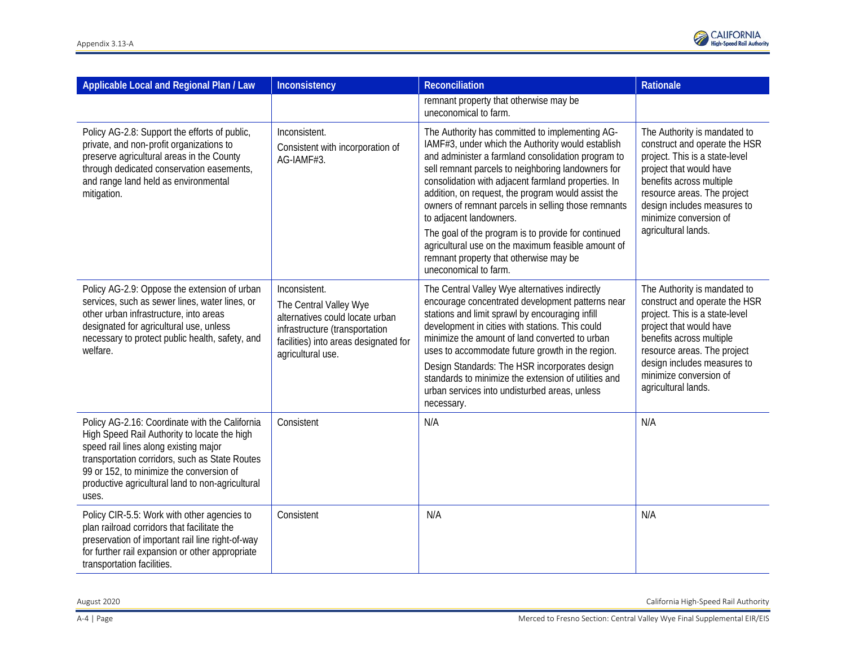

| Applicable Local and Regional Plan / Law                                                                                                                                                                                                                                                           | Inconsistency                                                                                                                                                              | Reconciliation                                                                                                                                                                                                                                                                                                                                                                                                                                                                                                                                                                                  | Rationale                                                                                                                                                                                                                                                             |
|----------------------------------------------------------------------------------------------------------------------------------------------------------------------------------------------------------------------------------------------------------------------------------------------------|----------------------------------------------------------------------------------------------------------------------------------------------------------------------------|-------------------------------------------------------------------------------------------------------------------------------------------------------------------------------------------------------------------------------------------------------------------------------------------------------------------------------------------------------------------------------------------------------------------------------------------------------------------------------------------------------------------------------------------------------------------------------------------------|-----------------------------------------------------------------------------------------------------------------------------------------------------------------------------------------------------------------------------------------------------------------------|
|                                                                                                                                                                                                                                                                                                    |                                                                                                                                                                            | remnant property that otherwise may be<br>uneconomical to farm.                                                                                                                                                                                                                                                                                                                                                                                                                                                                                                                                 |                                                                                                                                                                                                                                                                       |
| Policy AG-2.8: Support the efforts of public,<br>private, and non-profit organizations to<br>preserve agricultural areas in the County<br>through dedicated conservation easements,<br>and range land held as environmental<br>mitigation.                                                         | Inconsistent.<br>Consistent with incorporation of<br>AG-IAMF#3.                                                                                                            | The Authority has committed to implementing AG-<br>IAMF#3, under which the Authority would establish<br>and administer a farmland consolidation program to<br>sell remnant parcels to neighboring landowners for<br>consolidation with adjacent farmland properties. In<br>addition, on request, the program would assist the<br>owners of remnant parcels in selling those remnants<br>to adjacent landowners.<br>The goal of the program is to provide for continued<br>agricultural use on the maximum feasible amount of<br>remnant property that otherwise may be<br>uneconomical to farm. | The Authority is mandated to<br>construct and operate the HSR<br>project. This is a state-level<br>project that would have<br>benefits across multiple<br>resource areas. The project<br>design includes measures to<br>minimize conversion of<br>agricultural lands. |
| Policy AG-2.9: Oppose the extension of urban<br>services, such as sewer lines, water lines, or<br>other urban infrastructure, into areas<br>designated for agricultural use, unless<br>necessary to protect public health, safety, and<br>welfare.                                                 | Inconsistent.<br>The Central Valley Wye<br>alternatives could locate urban<br>infrastructure (transportation<br>facilities) into areas designated for<br>agricultural use. | The Central Valley Wye alternatives indirectly<br>encourage concentrated development patterns near<br>stations and limit sprawl by encouraging infill<br>development in cities with stations. This could<br>minimize the amount of land converted to urban<br>uses to accommodate future growth in the region.<br>Design Standards: The HSR incorporates design<br>standards to minimize the extension of utilities and<br>urban services into undisturbed areas, unless<br>necessary.                                                                                                          | The Authority is mandated to<br>construct and operate the HSR<br>project. This is a state-level<br>project that would have<br>benefits across multiple<br>resource areas. The project<br>design includes measures to<br>minimize conversion of<br>agricultural lands. |
| Policy AG-2.16: Coordinate with the California<br>High Speed Rail Authority to locate the high<br>speed rail lines along existing major<br>transportation corridors, such as State Routes<br>99 or 152, to minimize the conversion of<br>productive agricultural land to non-agricultural<br>uses. | Consistent                                                                                                                                                                 | N/A                                                                                                                                                                                                                                                                                                                                                                                                                                                                                                                                                                                             | N/A                                                                                                                                                                                                                                                                   |
| Policy CIR-5.5: Work with other agencies to<br>plan railroad corridors that facilitate the<br>preservation of important rail line right-of-way<br>for further rail expansion or other appropriate<br>transportation facilities.                                                                    | Consistent                                                                                                                                                                 | N/A                                                                                                                                                                                                                                                                                                                                                                                                                                                                                                                                                                                             | N/A                                                                                                                                                                                                                                                                   |

August 2020 California High-Speed Rail Authority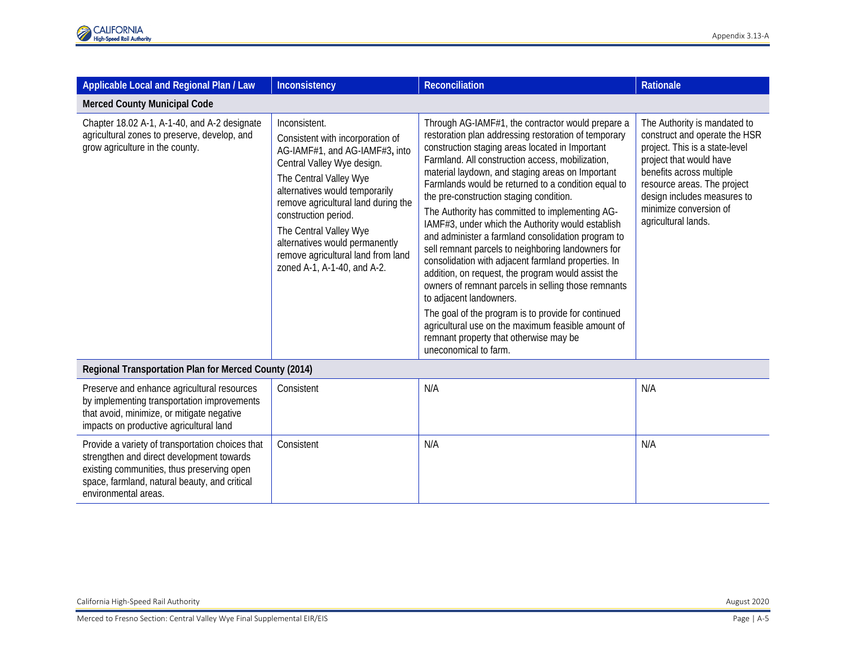| Applicable Local and Regional Plan / Law                                                                                                                                                                             | Inconsistency                                                                                                                                                                                                                                                                                                                                                                 | <b>Reconciliation</b>                                                                                                                                                                                                                                                                                                                                                                                                                                                                                                                                                                                                                                                                                                                                                                                                                                                                                                                            | <b>Rationale</b>                                                                                                                                                                                                                                                      |
|----------------------------------------------------------------------------------------------------------------------------------------------------------------------------------------------------------------------|-------------------------------------------------------------------------------------------------------------------------------------------------------------------------------------------------------------------------------------------------------------------------------------------------------------------------------------------------------------------------------|--------------------------------------------------------------------------------------------------------------------------------------------------------------------------------------------------------------------------------------------------------------------------------------------------------------------------------------------------------------------------------------------------------------------------------------------------------------------------------------------------------------------------------------------------------------------------------------------------------------------------------------------------------------------------------------------------------------------------------------------------------------------------------------------------------------------------------------------------------------------------------------------------------------------------------------------------|-----------------------------------------------------------------------------------------------------------------------------------------------------------------------------------------------------------------------------------------------------------------------|
| <b>Merced County Municipal Code</b>                                                                                                                                                                                  |                                                                                                                                                                                                                                                                                                                                                                               |                                                                                                                                                                                                                                                                                                                                                                                                                                                                                                                                                                                                                                                                                                                                                                                                                                                                                                                                                  |                                                                                                                                                                                                                                                                       |
| Chapter 18.02 A-1, A-1-40, and A-2 designate<br>agricultural zones to preserve, develop, and<br>grow agriculture in the county.                                                                                      | Inconsistent.<br>Consistent with incorporation of<br>AG-IAMF#1, and AG-IAMF#3, into<br>Central Valley Wye design.<br>The Central Valley Wye<br>alternatives would temporarily<br>remove agricultural land during the<br>construction period.<br>The Central Valley Wye<br>alternatives would permanently<br>remove agricultural land from land<br>zoned A-1, A-1-40, and A-2. | Through AG-IAMF#1, the contractor would prepare a<br>restoration plan addressing restoration of temporary<br>construction staging areas located in Important<br>Farmland. All construction access, mobilization,<br>material laydown, and staging areas on Important<br>Farmlands would be returned to a condition equal to<br>the pre-construction staging condition.<br>The Authority has committed to implementing AG-<br>IAMF#3, under which the Authority would establish<br>and administer a farmland consolidation program to<br>sell remnant parcels to neighboring landowners for<br>consolidation with adjacent farmland properties. In<br>addition, on request, the program would assist the<br>owners of remnant parcels in selling those remnants<br>to adjacent landowners.<br>The goal of the program is to provide for continued<br>agricultural use on the maximum feasible amount of<br>remnant property that otherwise may be | The Authority is mandated to<br>construct and operate the HSR<br>project. This is a state-level<br>project that would have<br>benefits across multiple<br>resource areas. The project<br>design includes measures to<br>minimize conversion of<br>agricultural lands. |
|                                                                                                                                                                                                                      |                                                                                                                                                                                                                                                                                                                                                                               | uneconomical to farm.                                                                                                                                                                                                                                                                                                                                                                                                                                                                                                                                                                                                                                                                                                                                                                                                                                                                                                                            |                                                                                                                                                                                                                                                                       |
| Regional Transportation Plan for Merced County (2014)                                                                                                                                                                |                                                                                                                                                                                                                                                                                                                                                                               |                                                                                                                                                                                                                                                                                                                                                                                                                                                                                                                                                                                                                                                                                                                                                                                                                                                                                                                                                  |                                                                                                                                                                                                                                                                       |
| Preserve and enhance agricultural resources<br>by implementing transportation improvements<br>that avoid, minimize, or mitigate negative<br>impacts on productive agricultural land                                  | Consistent                                                                                                                                                                                                                                                                                                                                                                    | N/A                                                                                                                                                                                                                                                                                                                                                                                                                                                                                                                                                                                                                                                                                                                                                                                                                                                                                                                                              | N/A                                                                                                                                                                                                                                                                   |
| Provide a variety of transportation choices that<br>strengthen and direct development towards<br>existing communities, thus preserving open<br>space, farmland, natural beauty, and critical<br>environmental areas. | Consistent                                                                                                                                                                                                                                                                                                                                                                    | N/A                                                                                                                                                                                                                                                                                                                                                                                                                                                                                                                                                                                                                                                                                                                                                                                                                                                                                                                                              | N/A                                                                                                                                                                                                                                                                   |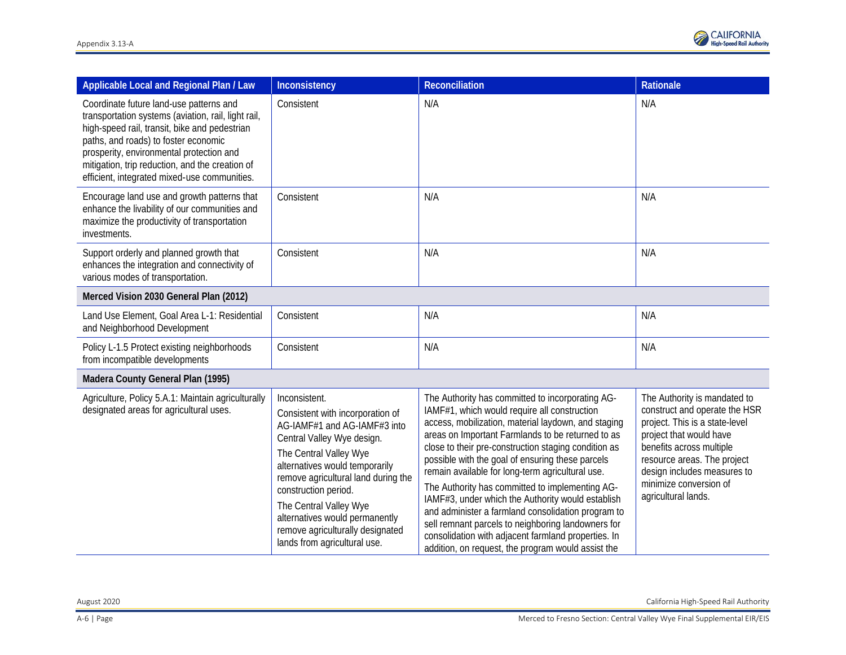| Applicable Local and Regional Plan / Law                                                                                                                                                                                                                                                                                               | Inconsistency                                                                                                                                                                                                                                                                                                                                                              | Reconciliation                                                                                                                                                                                                                                                                                                                                                                                                                                                                                                                                                                                                                                                                                                | Rationale                                                                                                                                                                                                                                                             |
|----------------------------------------------------------------------------------------------------------------------------------------------------------------------------------------------------------------------------------------------------------------------------------------------------------------------------------------|----------------------------------------------------------------------------------------------------------------------------------------------------------------------------------------------------------------------------------------------------------------------------------------------------------------------------------------------------------------------------|---------------------------------------------------------------------------------------------------------------------------------------------------------------------------------------------------------------------------------------------------------------------------------------------------------------------------------------------------------------------------------------------------------------------------------------------------------------------------------------------------------------------------------------------------------------------------------------------------------------------------------------------------------------------------------------------------------------|-----------------------------------------------------------------------------------------------------------------------------------------------------------------------------------------------------------------------------------------------------------------------|
| Coordinate future land-use patterns and<br>transportation systems (aviation, rail, light rail,<br>high-speed rail, transit, bike and pedestrian<br>paths, and roads) to foster economic<br>prosperity, environmental protection and<br>mitigation, trip reduction, and the creation of<br>efficient, integrated mixed-use communities. | Consistent                                                                                                                                                                                                                                                                                                                                                                 | N/A                                                                                                                                                                                                                                                                                                                                                                                                                                                                                                                                                                                                                                                                                                           | N/A                                                                                                                                                                                                                                                                   |
| Encourage land use and growth patterns that<br>enhance the livability of our communities and<br>maximize the productivity of transportation<br>investments.                                                                                                                                                                            | Consistent                                                                                                                                                                                                                                                                                                                                                                 | N/A                                                                                                                                                                                                                                                                                                                                                                                                                                                                                                                                                                                                                                                                                                           | N/A                                                                                                                                                                                                                                                                   |
| Support orderly and planned growth that<br>enhances the integration and connectivity of<br>various modes of transportation.                                                                                                                                                                                                            | Consistent                                                                                                                                                                                                                                                                                                                                                                 | N/A                                                                                                                                                                                                                                                                                                                                                                                                                                                                                                                                                                                                                                                                                                           | N/A                                                                                                                                                                                                                                                                   |
| Merced Vision 2030 General Plan (2012)                                                                                                                                                                                                                                                                                                 |                                                                                                                                                                                                                                                                                                                                                                            |                                                                                                                                                                                                                                                                                                                                                                                                                                                                                                                                                                                                                                                                                                               |                                                                                                                                                                                                                                                                       |
| Land Use Element, Goal Area L-1: Residential<br>and Neighborhood Development                                                                                                                                                                                                                                                           | Consistent                                                                                                                                                                                                                                                                                                                                                                 | N/A                                                                                                                                                                                                                                                                                                                                                                                                                                                                                                                                                                                                                                                                                                           | N/A                                                                                                                                                                                                                                                                   |
| Policy L-1.5 Protect existing neighborhoods<br>from incompatible developments                                                                                                                                                                                                                                                          | Consistent                                                                                                                                                                                                                                                                                                                                                                 | N/A                                                                                                                                                                                                                                                                                                                                                                                                                                                                                                                                                                                                                                                                                                           | N/A                                                                                                                                                                                                                                                                   |
| Madera County General Plan (1995)                                                                                                                                                                                                                                                                                                      |                                                                                                                                                                                                                                                                                                                                                                            |                                                                                                                                                                                                                                                                                                                                                                                                                                                                                                                                                                                                                                                                                                               |                                                                                                                                                                                                                                                                       |
| Agriculture, Policy 5.A.1: Maintain agriculturally<br>designated areas for agricultural uses.                                                                                                                                                                                                                                          | Inconsistent.<br>Consistent with incorporation of<br>AG-IAMF#1 and AG-IAMF#3 into<br>Central Valley Wye design.<br>The Central Valley Wye<br>alternatives would temporarily<br>remove agricultural land during the<br>construction period.<br>The Central Valley Wye<br>alternatives would permanently<br>remove agriculturally designated<br>lands from agricultural use. | The Authority has committed to incorporating AG-<br>IAMF#1, which would require all construction<br>access, mobilization, material laydown, and staging<br>areas on Important Farmlands to be returned to as<br>close to their pre-construction staging condition as<br>possible with the goal of ensuring these parcels<br>remain available for long-term agricultural use.<br>The Authority has committed to implementing AG-<br>IAMF#3, under which the Authority would establish<br>and administer a farmland consolidation program to<br>sell remnant parcels to neighboring landowners for<br>consolidation with adjacent farmland properties. In<br>addition, on request, the program would assist the | The Authority is mandated to<br>construct and operate the HSR<br>project. This is a state-level<br>project that would have<br>benefits across multiple<br>resource areas. The project<br>design includes measures to<br>minimize conversion of<br>agricultural lands. |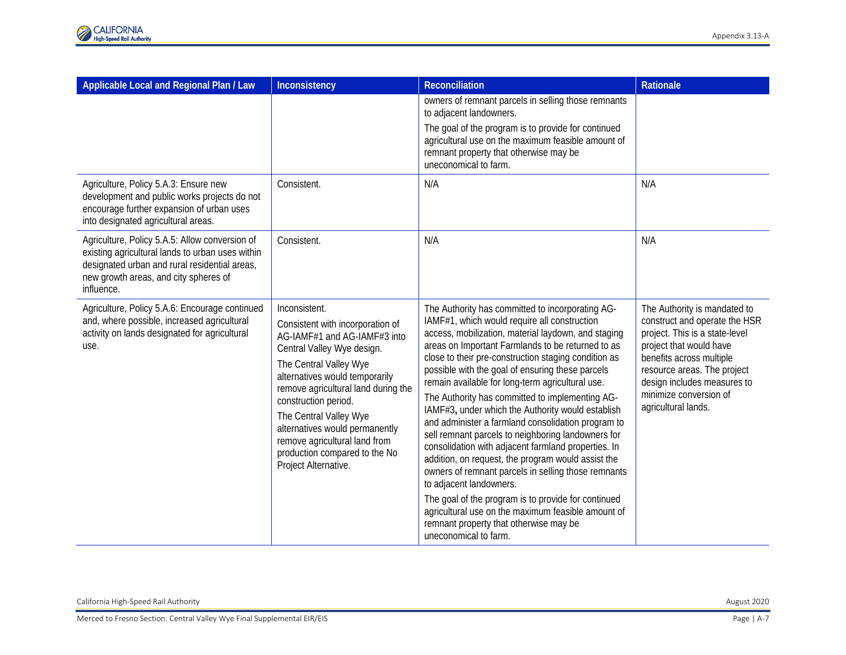| Applicable Local and Regional Plan / Law                                                                                                                                                                   | Inconsistency                                                                                                                                                                                                                                                                                                                                                                                    | Reconciliation                                                                                                                                                                                                                                                                                                                                                                                                                                                                                                                                                                                                                                                                                                                                                                                                                                                                                                                                                                  | Rationale                                                                                                                                                                                                                                                             |
|------------------------------------------------------------------------------------------------------------------------------------------------------------------------------------------------------------|--------------------------------------------------------------------------------------------------------------------------------------------------------------------------------------------------------------------------------------------------------------------------------------------------------------------------------------------------------------------------------------------------|---------------------------------------------------------------------------------------------------------------------------------------------------------------------------------------------------------------------------------------------------------------------------------------------------------------------------------------------------------------------------------------------------------------------------------------------------------------------------------------------------------------------------------------------------------------------------------------------------------------------------------------------------------------------------------------------------------------------------------------------------------------------------------------------------------------------------------------------------------------------------------------------------------------------------------------------------------------------------------|-----------------------------------------------------------------------------------------------------------------------------------------------------------------------------------------------------------------------------------------------------------------------|
|                                                                                                                                                                                                            |                                                                                                                                                                                                                                                                                                                                                                                                  | owners of remnant parcels in selling those remnants<br>to adjacent landowners.<br>The goal of the program is to provide for continued<br>agricultural use on the maximum feasible amount of<br>remnant property that otherwise may be<br>uneconomical to farm.                                                                                                                                                                                                                                                                                                                                                                                                                                                                                                                                                                                                                                                                                                                  |                                                                                                                                                                                                                                                                       |
| Agriculture, Policy 5.A.3: Ensure new<br>development and public works projects do not<br>encourage further expansion of urban uses<br>into designated agricultural areas.                                  | Consistent.                                                                                                                                                                                                                                                                                                                                                                                      | N/A                                                                                                                                                                                                                                                                                                                                                                                                                                                                                                                                                                                                                                                                                                                                                                                                                                                                                                                                                                             | N/A                                                                                                                                                                                                                                                                   |
| Agriculture, Policy 5.A.5: Allow conversion of<br>existing agricultural lands to urban uses within<br>designated urban and rural residential areas,<br>new growth areas, and city spheres of<br>influence. | Consistent.                                                                                                                                                                                                                                                                                                                                                                                      | N/A                                                                                                                                                                                                                                                                                                                                                                                                                                                                                                                                                                                                                                                                                                                                                                                                                                                                                                                                                                             | N/A                                                                                                                                                                                                                                                                   |
| Agriculture, Policy 5.A.6: Encourage continued<br>and, where possible, increased agricultural<br>activity on lands designated for agricultural<br>use.                                                     | Inconsistent.<br>Consistent with incorporation of<br>AG-IAMF#1 and AG-IAMF#3 into<br>Central Valley Wye design.<br>The Central Valley Wye<br>alternatives would temporarily<br>remove agricultural land during the<br>construction period.<br>The Central Valley Wye<br>alternatives would permanently<br>remove agricultural land from<br>production compared to the No<br>Project Alternative. | The Authority has committed to incorporating AG-<br>IAMF#1, which would require all construction<br>access, mobilization, material laydown, and staging<br>areas on Important Farmlands to be returned to as<br>close to their pre-construction staging condition as<br>possible with the goal of ensuring these parcels<br>remain available for long-term agricultural use.<br>The Authority has committed to implementing AG-<br>IAMF#3, under which the Authority would establish<br>and administer a farmland consolidation program to<br>sell remnant parcels to neighboring landowners for<br>consolidation with adjacent farmland properties. In<br>addition, on request, the program would assist the<br>owners of remnant parcels in selling those remnants<br>to adjacent landowners.<br>The goal of the program is to provide for continued<br>agricultural use on the maximum feasible amount of<br>remnant property that otherwise may be<br>uneconomical to farm. | The Authority is mandated to<br>construct and operate the HSR<br>project. This is a state-level<br>project that would have<br>benefits across multiple<br>resource areas. The project<br>design includes measures to<br>minimize conversion of<br>agricultural lands. |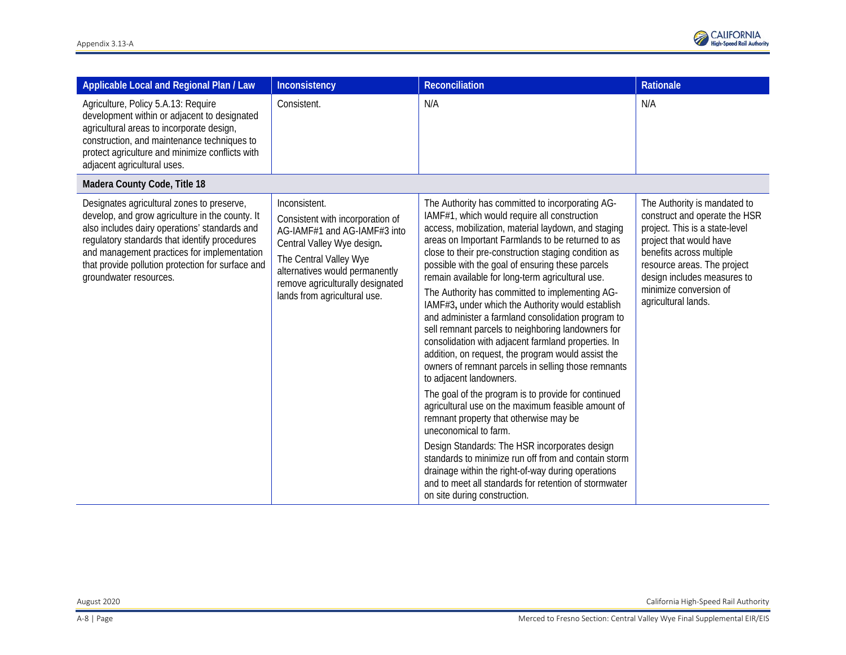

| Applicable Local and Regional Plan / Law                                                                                                                                                                                                                                                                                      | Inconsistency                                                                                                                                                                                                                                   | Reconciliation                                                                                                                                                                                                                                                                                                                                                                                                                                                                                                                                                                                                                                                                                                                                                                                                                                                                                                                                                                                                                                                                                                                                                                                                                          | Rationale                                                                                                                                                                                                                                                             |
|-------------------------------------------------------------------------------------------------------------------------------------------------------------------------------------------------------------------------------------------------------------------------------------------------------------------------------|-------------------------------------------------------------------------------------------------------------------------------------------------------------------------------------------------------------------------------------------------|-----------------------------------------------------------------------------------------------------------------------------------------------------------------------------------------------------------------------------------------------------------------------------------------------------------------------------------------------------------------------------------------------------------------------------------------------------------------------------------------------------------------------------------------------------------------------------------------------------------------------------------------------------------------------------------------------------------------------------------------------------------------------------------------------------------------------------------------------------------------------------------------------------------------------------------------------------------------------------------------------------------------------------------------------------------------------------------------------------------------------------------------------------------------------------------------------------------------------------------------|-----------------------------------------------------------------------------------------------------------------------------------------------------------------------------------------------------------------------------------------------------------------------|
| Agriculture, Policy 5.A.13: Require<br>development within or adjacent to designated<br>agricultural areas to incorporate design,<br>construction, and maintenance techniques to<br>protect agriculture and minimize conflicts with<br>adjacent agricultural uses.                                                             | Consistent.                                                                                                                                                                                                                                     | N/A                                                                                                                                                                                                                                                                                                                                                                                                                                                                                                                                                                                                                                                                                                                                                                                                                                                                                                                                                                                                                                                                                                                                                                                                                                     | N/A                                                                                                                                                                                                                                                                   |
| Madera County Code, Title 18                                                                                                                                                                                                                                                                                                  |                                                                                                                                                                                                                                                 |                                                                                                                                                                                                                                                                                                                                                                                                                                                                                                                                                                                                                                                                                                                                                                                                                                                                                                                                                                                                                                                                                                                                                                                                                                         |                                                                                                                                                                                                                                                                       |
| Designates agricultural zones to preserve,<br>develop, and grow agriculture in the county. It<br>also includes dairy operations' standards and<br>regulatory standards that identify procedures<br>and management practices for implementation<br>that provide pollution protection for surface and<br>groundwater resources. | Inconsistent.<br>Consistent with incorporation of<br>AG-IAMF#1 and AG-IAMF#3 into<br>Central Valley Wye design.<br>The Central Valley Wye<br>alternatives would permanently<br>remove agriculturally designated<br>lands from agricultural use. | The Authority has committed to incorporating AG-<br>IAMF#1, which would require all construction<br>access, mobilization, material laydown, and staging<br>areas on Important Farmlands to be returned to as<br>close to their pre-construction staging condition as<br>possible with the goal of ensuring these parcels<br>remain available for long-term agricultural use.<br>The Authority has committed to implementing AG-<br>IAMF#3, under which the Authority would establish<br>and administer a farmland consolidation program to<br>sell remnant parcels to neighboring landowners for<br>consolidation with adjacent farmland properties. In<br>addition, on request, the program would assist the<br>owners of remnant parcels in selling those remnants<br>to adjacent landowners.<br>The goal of the program is to provide for continued<br>agricultural use on the maximum feasible amount of<br>remnant property that otherwise may be<br>uneconomical to farm.<br>Design Standards: The HSR incorporates design<br>standards to minimize run off from and contain storm<br>drainage within the right-of-way during operations<br>and to meet all standards for retention of stormwater<br>on site during construction. | The Authority is mandated to<br>construct and operate the HSR<br>project. This is a state-level<br>project that would have<br>benefits across multiple<br>resource areas. The project<br>design includes measures to<br>minimize conversion of<br>agricultural lands. |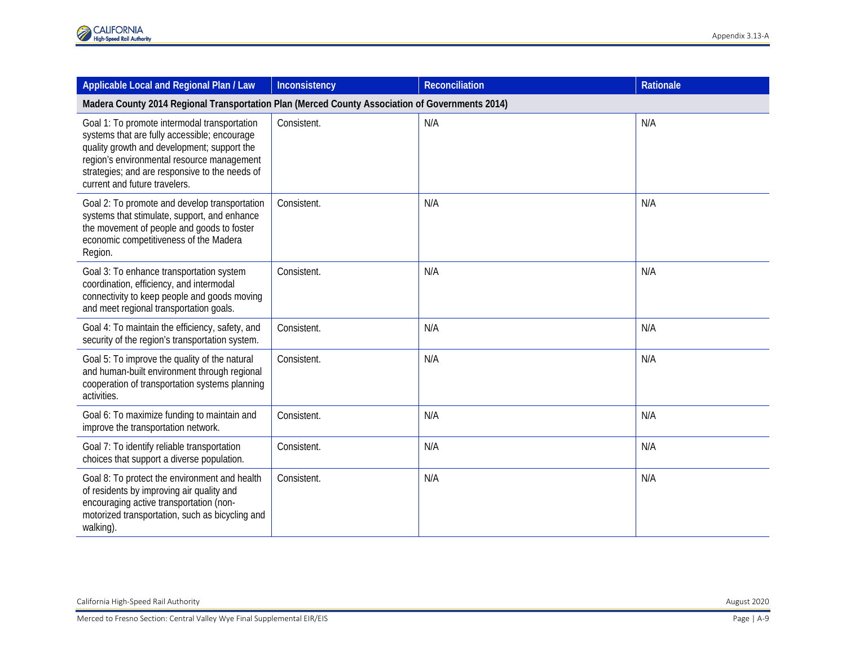| Applicable Local and Regional Plan / Law                                                                                                                                                                                                                                     | Inconsistency | Reconciliation | <b>Rationale</b> |
|------------------------------------------------------------------------------------------------------------------------------------------------------------------------------------------------------------------------------------------------------------------------------|---------------|----------------|------------------|
| Madera County 2014 Regional Transportation Plan (Merced County Association of Governments 2014)                                                                                                                                                                              |               |                |                  |
| Goal 1: To promote intermodal transportation<br>systems that are fully accessible; encourage<br>quality growth and development; support the<br>region's environmental resource management<br>strategies; and are responsive to the needs of<br>current and future travelers. | Consistent.   | N/A            | N/A              |
| Goal 2: To promote and develop transportation<br>systems that stimulate, support, and enhance<br>the movement of people and goods to foster<br>economic competitiveness of the Madera<br>Region.                                                                             | Consistent.   | N/A            | N/A              |
| Goal 3: To enhance transportation system<br>coordination, efficiency, and intermodal<br>connectivity to keep people and goods moving<br>and meet regional transportation goals.                                                                                              | Consistent.   | N/A            | N/A              |
| Goal 4: To maintain the efficiency, safety, and<br>security of the region's transportation system.                                                                                                                                                                           | Consistent.   | N/A            | N/A              |
| Goal 5: To improve the quality of the natural<br>and human-built environment through regional<br>cooperation of transportation systems planning<br>activities.                                                                                                               | Consistent.   | N/A            | N/A              |
| Goal 6: To maximize funding to maintain and<br>improve the transportation network.                                                                                                                                                                                           | Consistent.   | N/A            | N/A              |
| Goal 7: To identify reliable transportation<br>choices that support a diverse population.                                                                                                                                                                                    | Consistent.   | N/A            | N/A              |
| Goal 8: To protect the environment and health<br>of residents by improving air quality and<br>encouraging active transportation (non-<br>motorized transportation, such as bicycling and<br>walking).                                                                        | Consistent.   | N/A            | N/A              |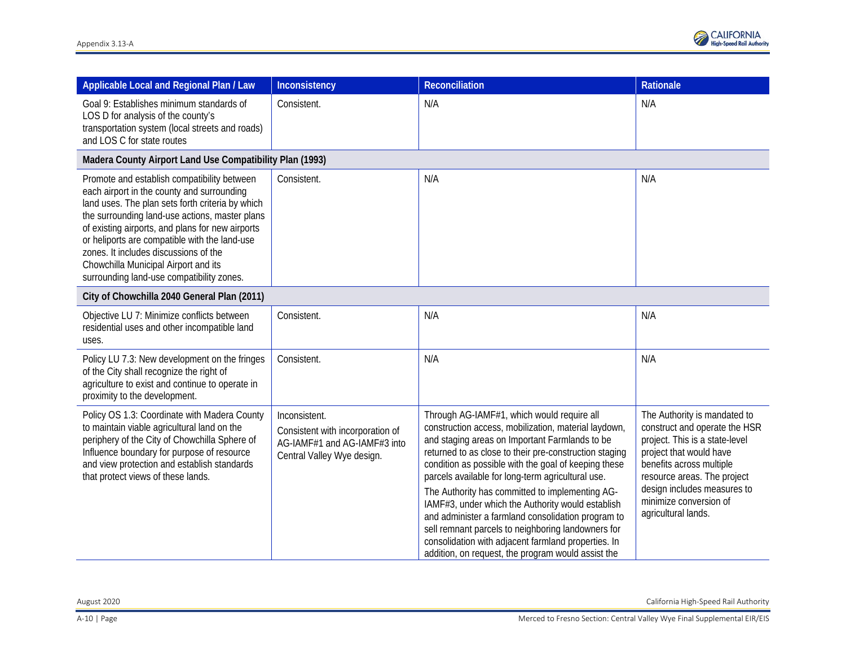

| Applicable Local and Regional Plan / Law                                                                                                                                                                                                                                                                                                                                                                                           | Inconsistency                                                                                                   | Reconciliation                                                                                                                                                                                                                                                                                                                                                                                                                                                                                                                                                                                                                                               | <b>Rationale</b>                                                                                                                                                                                                                                                      |
|------------------------------------------------------------------------------------------------------------------------------------------------------------------------------------------------------------------------------------------------------------------------------------------------------------------------------------------------------------------------------------------------------------------------------------|-----------------------------------------------------------------------------------------------------------------|--------------------------------------------------------------------------------------------------------------------------------------------------------------------------------------------------------------------------------------------------------------------------------------------------------------------------------------------------------------------------------------------------------------------------------------------------------------------------------------------------------------------------------------------------------------------------------------------------------------------------------------------------------------|-----------------------------------------------------------------------------------------------------------------------------------------------------------------------------------------------------------------------------------------------------------------------|
| Goal 9: Establishes minimum standards of<br>LOS D for analysis of the county's<br>transportation system (local streets and roads)<br>and LOS C for state routes                                                                                                                                                                                                                                                                    | Consistent.                                                                                                     | N/A                                                                                                                                                                                                                                                                                                                                                                                                                                                                                                                                                                                                                                                          | N/A                                                                                                                                                                                                                                                                   |
| Madera County Airport Land Use Compatibility Plan (1993)                                                                                                                                                                                                                                                                                                                                                                           |                                                                                                                 |                                                                                                                                                                                                                                                                                                                                                                                                                                                                                                                                                                                                                                                              |                                                                                                                                                                                                                                                                       |
| Promote and establish compatibility between<br>each airport in the county and surrounding<br>land uses. The plan sets forth criteria by which<br>the surrounding land-use actions, master plans<br>of existing airports, and plans for new airports<br>or heliports are compatible with the land-use<br>zones. It includes discussions of the<br>Chowchilla Municipal Airport and its<br>surrounding land-use compatibility zones. | Consistent.                                                                                                     | N/A                                                                                                                                                                                                                                                                                                                                                                                                                                                                                                                                                                                                                                                          | N/A                                                                                                                                                                                                                                                                   |
| City of Chowchilla 2040 General Plan (2011)                                                                                                                                                                                                                                                                                                                                                                                        |                                                                                                                 |                                                                                                                                                                                                                                                                                                                                                                                                                                                                                                                                                                                                                                                              |                                                                                                                                                                                                                                                                       |
| Objective LU 7: Minimize conflicts between<br>residential uses and other incompatible land<br>uses.                                                                                                                                                                                                                                                                                                                                | Consistent.                                                                                                     | N/A                                                                                                                                                                                                                                                                                                                                                                                                                                                                                                                                                                                                                                                          | N/A                                                                                                                                                                                                                                                                   |
| Policy LU 7.3: New development on the fringes<br>of the City shall recognize the right of<br>agriculture to exist and continue to operate in<br>proximity to the development.                                                                                                                                                                                                                                                      | Consistent.                                                                                                     | N/A                                                                                                                                                                                                                                                                                                                                                                                                                                                                                                                                                                                                                                                          | N/A                                                                                                                                                                                                                                                                   |
| Policy OS 1.3: Coordinate with Madera County<br>to maintain viable agricultural land on the<br>periphery of the City of Chowchilla Sphere of<br>Influence boundary for purpose of resource<br>and view protection and establish standards<br>that protect views of these lands.                                                                                                                                                    | Inconsistent.<br>Consistent with incorporation of<br>AG-IAMF#1 and AG-IAMF#3 into<br>Central Valley Wye design. | Through AG-IAMF#1, which would require all<br>construction access, mobilization, material laydown,<br>and staging areas on Important Farmlands to be<br>returned to as close to their pre-construction staging<br>condition as possible with the goal of keeping these<br>parcels available for long-term agricultural use.<br>The Authority has committed to implementing AG-<br>IAMF#3, under which the Authority would establish<br>and administer a farmland consolidation program to<br>sell remnant parcels to neighboring landowners for<br>consolidation with adjacent farmland properties. In<br>addition, on request, the program would assist the | The Authority is mandated to<br>construct and operate the HSR<br>project. This is a state-level<br>project that would have<br>benefits across multiple<br>resource areas. The project<br>design includes measures to<br>minimize conversion of<br>agricultural lands. |

August 2020 California High-Speed Rail Authority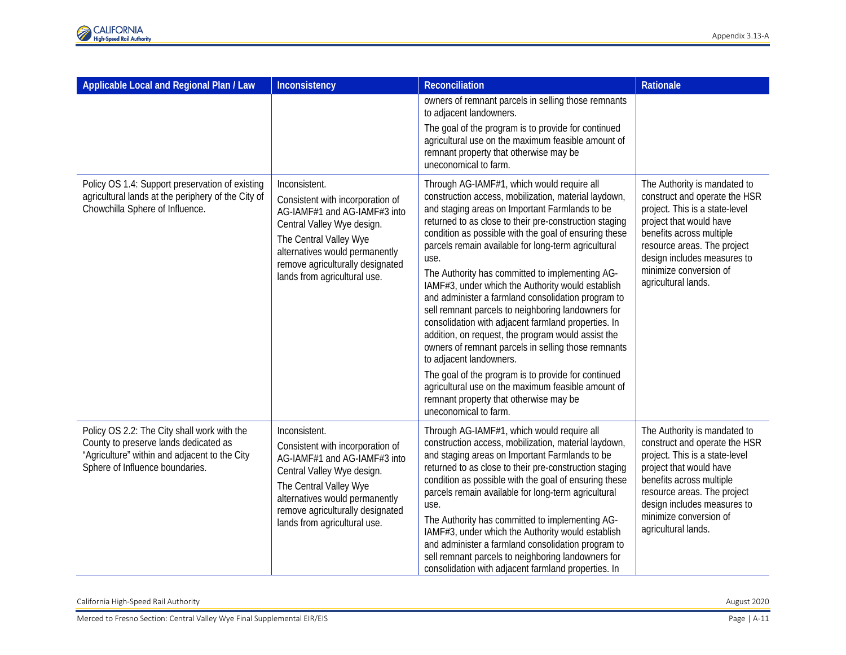| Applicable Local and Regional Plan / Law                                                                                                                                 | Inconsistency                                                                                                                                                                                                                                   | <b>Reconciliation</b>                                                                                                                                                                                                                                                                                                                                                                                                                                                                                                                                                                                                                                                                                                                                                                                                                                                                                                                     | Rationale                                                                                                                                                                                                                                                             |
|--------------------------------------------------------------------------------------------------------------------------------------------------------------------------|-------------------------------------------------------------------------------------------------------------------------------------------------------------------------------------------------------------------------------------------------|-------------------------------------------------------------------------------------------------------------------------------------------------------------------------------------------------------------------------------------------------------------------------------------------------------------------------------------------------------------------------------------------------------------------------------------------------------------------------------------------------------------------------------------------------------------------------------------------------------------------------------------------------------------------------------------------------------------------------------------------------------------------------------------------------------------------------------------------------------------------------------------------------------------------------------------------|-----------------------------------------------------------------------------------------------------------------------------------------------------------------------------------------------------------------------------------------------------------------------|
|                                                                                                                                                                          |                                                                                                                                                                                                                                                 | owners of remnant parcels in selling those remnants<br>to adjacent landowners.                                                                                                                                                                                                                                                                                                                                                                                                                                                                                                                                                                                                                                                                                                                                                                                                                                                            |                                                                                                                                                                                                                                                                       |
|                                                                                                                                                                          |                                                                                                                                                                                                                                                 | The goal of the program is to provide for continued<br>agricultural use on the maximum feasible amount of<br>remnant property that otherwise may be<br>uneconomical to farm.                                                                                                                                                                                                                                                                                                                                                                                                                                                                                                                                                                                                                                                                                                                                                              |                                                                                                                                                                                                                                                                       |
| Policy OS 1.4: Support preservation of existing<br>agricultural lands at the periphery of the City of<br>Chowchilla Sphere of Influence.                                 | Inconsistent.<br>Consistent with incorporation of<br>AG-IAMF#1 and AG-IAMF#3 into<br>Central Valley Wye design.<br>The Central Valley Wye<br>alternatives would permanently<br>remove agriculturally designated<br>lands from agricultural use. | Through AG-IAMF#1, which would require all<br>construction access, mobilization, material laydown,<br>and staging areas on Important Farmlands to be<br>returned to as close to their pre-construction staging<br>condition as possible with the goal of ensuring these<br>parcels remain available for long-term agricultural<br>use.<br>The Authority has committed to implementing AG-<br>IAMF#3, under which the Authority would establish<br>and administer a farmland consolidation program to<br>sell remnant parcels to neighboring landowners for<br>consolidation with adjacent farmland properties. In<br>addition, on request, the program would assist the<br>owners of remnant parcels in selling those remnants<br>to adjacent landowners.<br>The goal of the program is to provide for continued<br>agricultural use on the maximum feasible amount of<br>remnant property that otherwise may be<br>uneconomical to farm. | The Authority is mandated to<br>construct and operate the HSR<br>project. This is a state-level<br>project that would have<br>benefits across multiple<br>resource areas. The project<br>design includes measures to<br>minimize conversion of<br>agricultural lands. |
| Policy OS 2.2: The City shall work with the<br>County to preserve lands dedicated as<br>"Agriculture" within and adjacent to the City<br>Sphere of Influence boundaries. | Inconsistent.<br>Consistent with incorporation of<br>AG-IAMF#1 and AG-IAMF#3 into<br>Central Valley Wye design.<br>The Central Valley Wye<br>alternatives would permanently<br>remove agriculturally designated<br>lands from agricultural use. | Through AG-IAMF#1, which would require all<br>construction access, mobilization, material laydown,<br>and staging areas on Important Farmlands to be<br>returned to as close to their pre-construction staging<br>condition as possible with the goal of ensuring these<br>parcels remain available for long-term agricultural<br>use.<br>The Authority has committed to implementing AG-<br>IAMF#3, under which the Authority would establish<br>and administer a farmland consolidation program to<br>sell remnant parcels to neighboring landowners for<br>consolidation with adjacent farmland properties. In                                                                                                                                                                                                                                                                                                                         | The Authority is mandated to<br>construct and operate the HSR<br>project. This is a state-level<br>project that would have<br>benefits across multiple<br>resource areas. The project<br>design includes measures to<br>minimize conversion of<br>agricultural lands. |

California High-Speed Rail Authority **August 2020**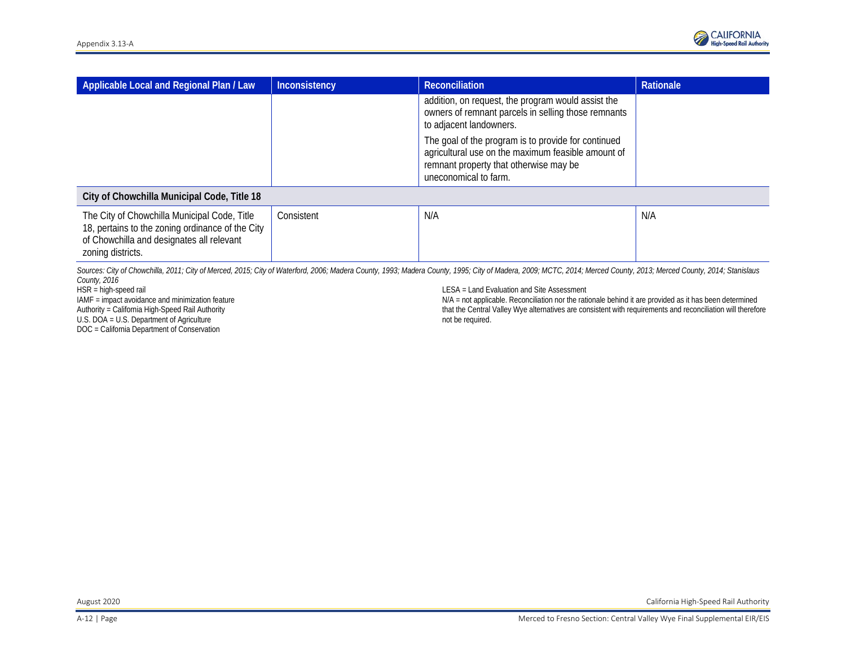| Applicable Local and Regional Plan / Law                                                                                                                           | Inconsistency | Reconciliation                                                                                                                                                               | Rationale |
|--------------------------------------------------------------------------------------------------------------------------------------------------------------------|---------------|------------------------------------------------------------------------------------------------------------------------------------------------------------------------------|-----------|
|                                                                                                                                                                    |               | addition, on request, the program would assist the<br>owners of remnant parcels in selling those remnants<br>to adjacent landowners.                                         |           |
|                                                                                                                                                                    |               | The goal of the program is to provide for continued<br>agricultural use on the maximum feasible amount of<br>remnant property that otherwise may be<br>uneconomical to farm. |           |
| City of Chowchilla Municipal Code, Title 18                                                                                                                        |               |                                                                                                                                                                              |           |
| The City of Chowchilla Municipal Code, Title<br>18, pertains to the zoning ordinance of the City<br>of Chowchilla and designates all relevant<br>zoning districts. | Consistent    | N/A                                                                                                                                                                          | N/A       |

Sources: City of Chowchilla, 2011; City of Merced, 2015; City of Waterford, 2006; Madera County, 1993; Madera County, 1995; City of Madera, 2009; MCTC, 2014; Merced County, 2013; Merced County, 2014; Stanislaus *County, 2016*

HSR = high-speed rail

IAMF = impact avoidance and minimization feature Authority = California High-Speed Rail Authority U.S. DOA = U.S. Department of Agriculture DOC = California Department of Conservation

LESA = Land Evaluation and Site Assessment

N/A = not applicable. Reconciliation nor the rationale behind it are provided as it has been determined that the Central Valley Wye alternatives are consistent with requirements and reconciliation will therefore not be required.

August 2020 California High-Speed Rail Authority